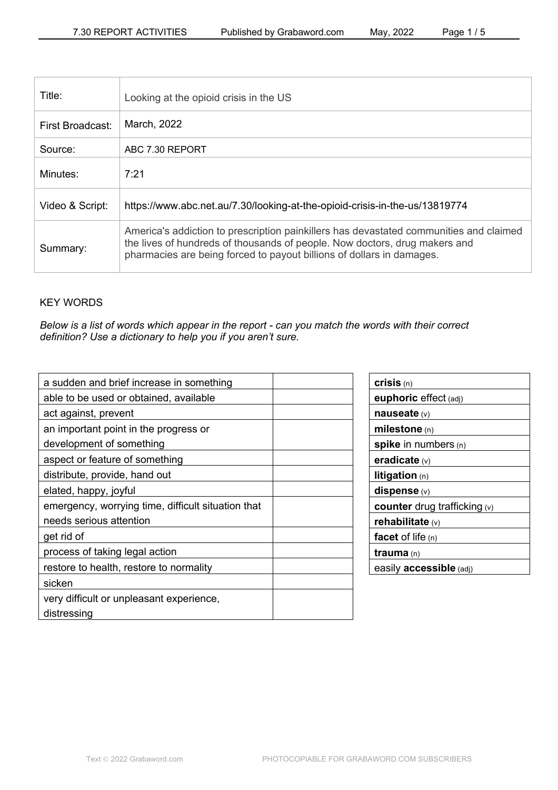| Title:           | Looking at the opioid crisis in the US                                                                                                                                                                                                        |
|------------------|-----------------------------------------------------------------------------------------------------------------------------------------------------------------------------------------------------------------------------------------------|
| First Broadcast: | March, 2022                                                                                                                                                                                                                                   |
| Source:          | ABC 7.30 REPORT                                                                                                                                                                                                                               |
| Minutes:         | 7:21                                                                                                                                                                                                                                          |
| Video & Script:  | https://www.abc.net.au/7.30/looking-at-the-opioid-crisis-in-the-us/13819774                                                                                                                                                                   |
| Summary:         | America's addiction to prescription painkillers has devastated communities and claimed<br>the lives of hundreds of thousands of people. Now doctors, drug makers and<br>pharmacies are being forced to payout billions of dollars in damages. |

# KEY WORDS

*Below is a list of words which appear in the report - can you match the words with their correct definition? Use a dictionary to help you if you aren't sure.*

| a sudden and brief increase in something           |
|----------------------------------------------------|
| able to be used or obtained, available             |
| act against, prevent                               |
| an important point in the progress or              |
| development of something                           |
| aspect or feature of something                     |
| distribute, provide, hand out                      |
| elated, happy, joyful                              |
| emergency, worrying time, difficult situation that |
| needs serious attention                            |
| get rid of                                         |
| process of taking legal action                     |
| restore to health, restore to normality            |
| sicken                                             |
| very difficult or unpleasant experience,           |
| distressing                                        |

| crisis(n)                             |
|---------------------------------------|
| euphoric effect (adj)                 |
| nauseate $(v)$                        |
| milestone $(n)$                       |
| spike in numbers $(n)$                |
| eradicate $(v)$                       |
| <b>litigation</b> $(n)$               |
| $dispense$ (v)                        |
| <b>counter</b> drug trafficking $(v)$ |
| rehabilitate $(v)$                    |
| facet of life $(n)$                   |
| <b>trauma</b> (n)                     |
| easily <b>accessible</b> (adj)        |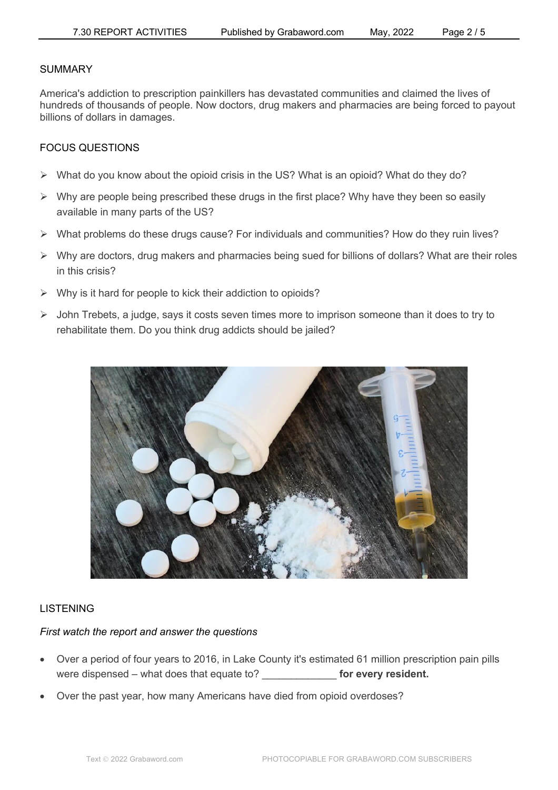### SUMMARY

America's addiction to prescription painkillers has devastated communities and claimed the lives of hundreds of thousands of people. Now doctors, drug makers and pharmacies are being forced to payout billions of dollars in damages.

## FOCUS QUESTIONS

- $\triangleright$  What do you know about the opioid crisis in the US? What is an opioid? What do they do?
- $\triangleright$  Why are people being prescribed these drugs in the first place? Why have they been so easily available in many parts of the US?
- $\triangleright$  What problems do these drugs cause? For individuals and communities? How do they ruin lives?
- $\triangleright$  Why are doctors, drug makers and pharmacies being sued for billions of dollars? What are their roles in this crisis?
- $\triangleright$  Why is it hard for people to kick their addiction to opioids?
- $\triangleright$  John Trebets, a judge, says it costs seven times more to imprison someone than it does to try to rehabilitate them. Do you think drug addicts should be jailed?



### LISTENING

#### *First watch the report and answer the questions*

- Over a period of four years to 2016, in Lake County it's estimated 61 million prescription pain pills were dispensed – what does that equate to? **For every resident.**
- Over the past year, how many Americans have died from opioid overdoses?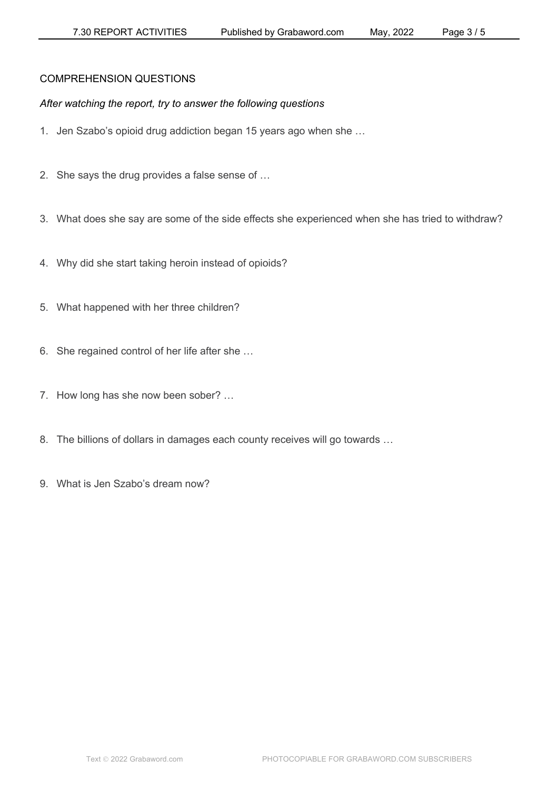# COMPREHENSION QUESTIONS

# *After watching the report, try to answer the following questions*

- 1. Jen Szabo's opioid drug addiction began 15 years ago when she …
- 2. She says the drug provides a false sense of …
- 3. What does she say are some of the side effects she experienced when she has tried to withdraw?
- 4. Why did she start taking heroin instead of opioids?
- 5. What happened with her three children?
- 6. She regained control of her life after she …
- 7. How long has she now been sober? …
- 8. The billions of dollars in damages each county receives will go towards …
- 9. What is Jen Szabo's dream now?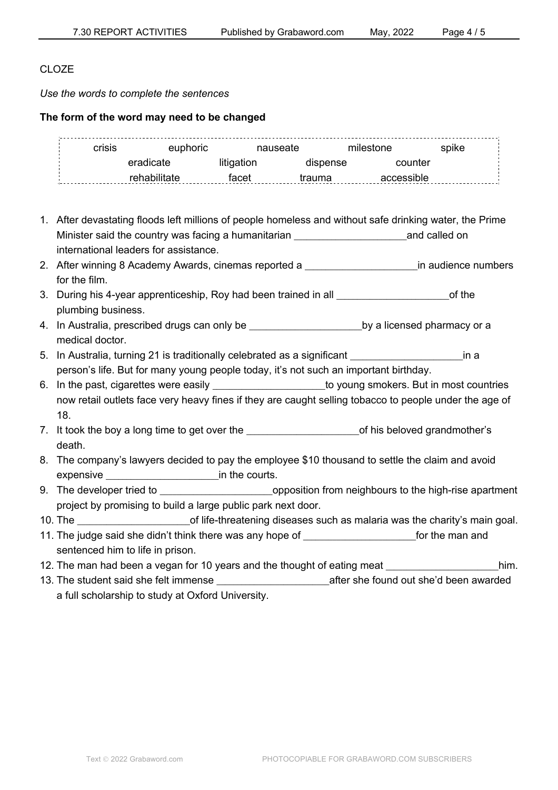## CLO<sub>ZE</sub>

*Use the words to complete the sentences*

### **The form of the word may need to be changed**

| crisis | euphoric     | nauseate   |          | milestone  | spike |
|--------|--------------|------------|----------|------------|-------|
|        | eradicate    | litigation | dispense | counter    |       |
|        | rehabilitate | facet      | trauma   | accessible |       |

- 1. After devastating floods left millions of people homeless and without safe drinking water, the Prime Minister said the country was facing a humanitarian **Example 2** and called on international leaders for assistance.
- 2. After winning 8 Academy Awards, cinemas reported a **Exercise 2** in audience numbers for the film.
- 3. During his 4-year apprenticeship, Roy had been trained in all **Example 20** Sof the plumbing business.
- 4. In Australia, prescribed drugs can only be \_\_\_\_\_\_\_\_\_\_\_\_\_\_\_\_\_\_\_\_\_by a licensed pharmacy or a medical doctor.
- 5. In Australia, turning 21 is traditionally celebrated as a significant **Fig. 1** in a person's life. But for many young people today, it's not such an important birthday.
- 6. In the past, cigarettes were easily entity and the young smokers. But in most countries now retail outlets face very heavy fines if they are caught selling tobacco to people under the age of 18.
- 7. It took the boy a long time to get over the \_\_\_\_\_\_\_\_\_\_\_\_\_\_\_\_\_\_\_\_\_\_\_\_\_\_\_of his beloved grandmother's death.
- 8. The company's lawyers decided to pay the employee \$10 thousand to settle the claim and avoid expensive **EXPENSIVE EXPENSIVE EXPENSIVE EXPENSIVE EXPENSIVE EXPENSIVE**
- 9. The developer tried to **Deprocessing to the supposition** from neighbours to the high-rise apartment project by promising to build a large public park next door.
- 10. The **the contract of life-threatening diseases such as malaria was the charity's main goal.**
- 11. The judge said she didn't think there was any hope of **with the manual** for the man and sentenced him to life in prison.
- 12. The man had been a vegan for 10 years and the thought of eating meat Theorem 2011 m.
- 13. The student said she felt immense **Exercise 20** after she found out she'd been awarded a full scholarship to study at Oxford University.